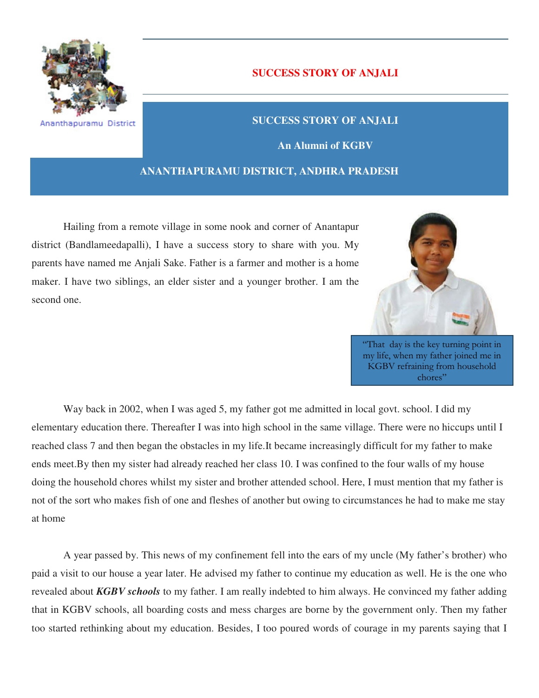

Ananthapuramu District

# **SUCCESS STORY OF ANJALI**

**SUCCESS STORY OF ANJALI** 

**An Alumni of KGBV** 

## **ANANTHAPURAMU DISTRICT, ANDHRA PRADESH**

Hailing from a remote village in some nook and corner of Anantapur district (Bandlameedapalli), I have a success story to share with you. My parents have named me Anjali Sake. Father is a farmer and mother is a home maker. I have two siblings, an elder sister and a younger brother. I am the second one.



"That day is the key turning point in my life, when my father joined me in KGBV refraining from household chores"

Way back in 2002, when I was aged 5, my father got me admitted in local govt. school. I did my elementary education there. Thereafter I was into high school in the same village. There were no hiccups until I reached class 7 and then began the obstacles in my life.It became increasingly difficult for my father to make ends meet.By then my sister had already reached her class 10. I was confined to the four walls of my house doing the household chores whilst my sister and brother attended school. Here, I must mention that my father is not of the sort who makes fish of one and fleshes of another but owing to circumstances he had to make me stay at home

A year passed by. This news of my confinement fell into the ears of my uncle (My father's brother) who paid a visit to our house a year later. He advised my father to continue my education as well. He is the one who revealed about *KGBV schools* to my father. I am really indebted to him always. He convinced my father adding that in KGBV schools, all boarding costs and mess charges are borne by the government only. Then my father too started rethinking about my education. Besides, I too poured words of courage in my parents saying that I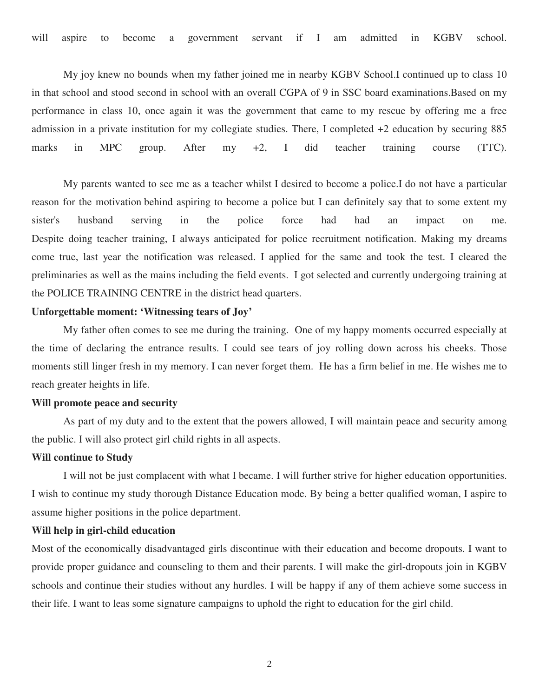will aspire to become a government servant if I am admitted in KGBV school.

My joy knew no bounds when my father joined me in nearby KGBV School.I continued up to class 10 in that school and stood second in school with an overall CGPA of 9 in SSC board examinations.Based on my performance in class 10, once again it was the government that came to my rescue by offering me a free admission in a private institution for my collegiate studies. There, I completed +2 education by securing 885 marks in MPC group. After my +2, I did teacher training course (TTC).

My parents wanted to see me as a teacher whilst I desired to become a police.I do not have a particular reason for the motivation behind aspiring to become a police but I can definitely say that to some extent my sister's husband serving in the police force had had an impact on me. Despite doing teacher training, I always anticipated for police recruitment notification. Making my dreams come true, last year the notification was released. I applied for the same and took the test. I cleared the preliminaries as well as the mains including the field events. I got selected and currently undergoing training at the POLICE TRAINING CENTRE in the district head quarters.

### **Unforgettable moment: 'Witnessing tears of Joy'**

My father often comes to see me during the training. One of my happy moments occurred especially at the time of declaring the entrance results. I could see tears of joy rolling down across his cheeks. Those moments still linger fresh in my memory. I can never forget them. He has a firm belief in me. He wishes me to reach greater heights in life.

### **Will promote peace and security**

As part of my duty and to the extent that the powers allowed, I will maintain peace and security among the public. I will also protect girl child rights in all aspects.

#### **Will continue to Study**

I will not be just complacent with what I became. I will further strive for higher education opportunities. I wish to continue my study thorough Distance Education mode. By being a better qualified woman, I aspire to assume higher positions in the police department.

### **Will help in girl-child education**

Most of the economically disadvantaged girls discontinue with their education and become dropouts. I want to provide proper guidance and counseling to them and their parents. I will make the girl-dropouts join in KGBV schools and continue their studies without any hurdles. I will be happy if any of them achieve some success in their life. I want to leas some signature campaigns to uphold the right to education for the girl child.